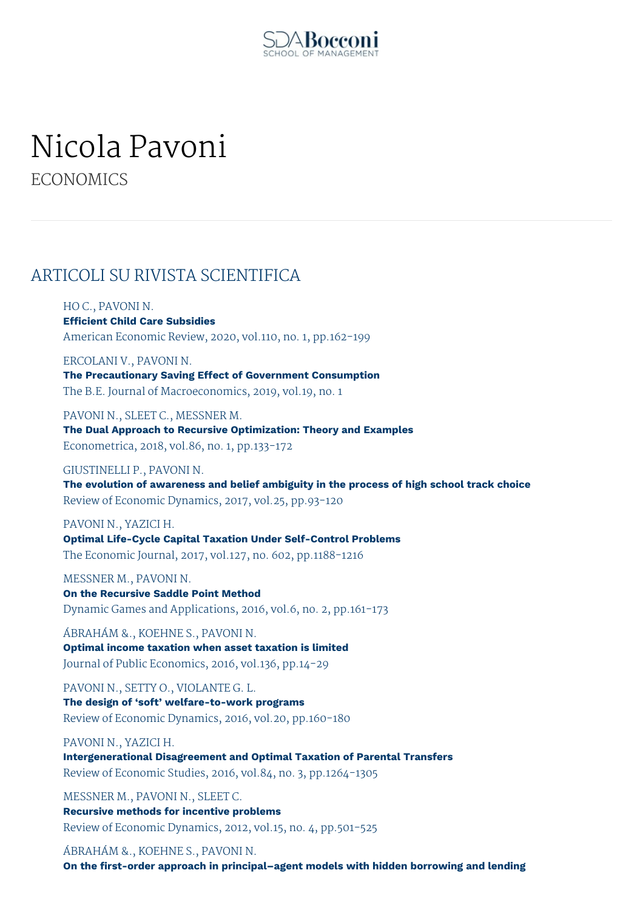

## Nicola Pavoni

**ECONOMICS** 

## ARTICOLI SU RIVISTA SCIENTIFICA

HO C., PAVONI N.

**Efficient Child Care Subsidies** American Economic Review, 2020, vol.110, no. 1, pp.162-199

ERCOLANI V., PAVONI N. **The Precautionary Saving Effect of Government Consumption** The B.E. Journal of Macroeconomics, 2019, vol.19, no. 1

PAVONI N., SLEET C., MESSNER M. **The Dual Approach to Recursive Optimization: Theory and Examples** Econometrica, 2018, vol.86, no. 1, pp.133-172

GIUSTINELLI P., PAVONI N.

**The evolution of awareness and belief ambiguity in the process of high school track choice** Review of Economic Dynamics, 2017, vol.25, pp.93-120

PAVONI N., YAZICI H.

**Optimal Life-Cycle Capital Taxation Under Self-Control Problems** The Economic Journal, 2017, vol.127, no. 602, pp.1188-1216

MESSNER M., PAVONI N. **On the Recursive Saddle Point Method** Dynamic Games and Applications, 2016, vol.6, no. 2, pp.161-173

ÁBRAHÁM &., KOEHNE S., PAVONI N. **Optimal income taxation when asset taxation is limited** Journal of Public Economics, 2016, vol.136, pp.14-29

PAVONI N., SETTY O., VIOLANTE G. L. **The design of 'soft' welfare-to-work programs** Review of Economic Dynamics, 2016, vol.20, pp.160-180

PAVONI N., YAZICI H. **Intergenerational Disagreement and Optimal Taxation of Parental Transfers** Review of Economic Studies, 2016, vol.84, no. 3, pp.1264-1305

MESSNER M., PAVONI N., SLEET C. **Recursive methods for incentive problems** Review of Economic Dynamics, 2012, vol.15, no. 4, pp.501-525

ÁBRAHÁM &., KOEHNE S., PAVONI N. **On the first-order approach in principal–agent models with hidden borrowing and lending**